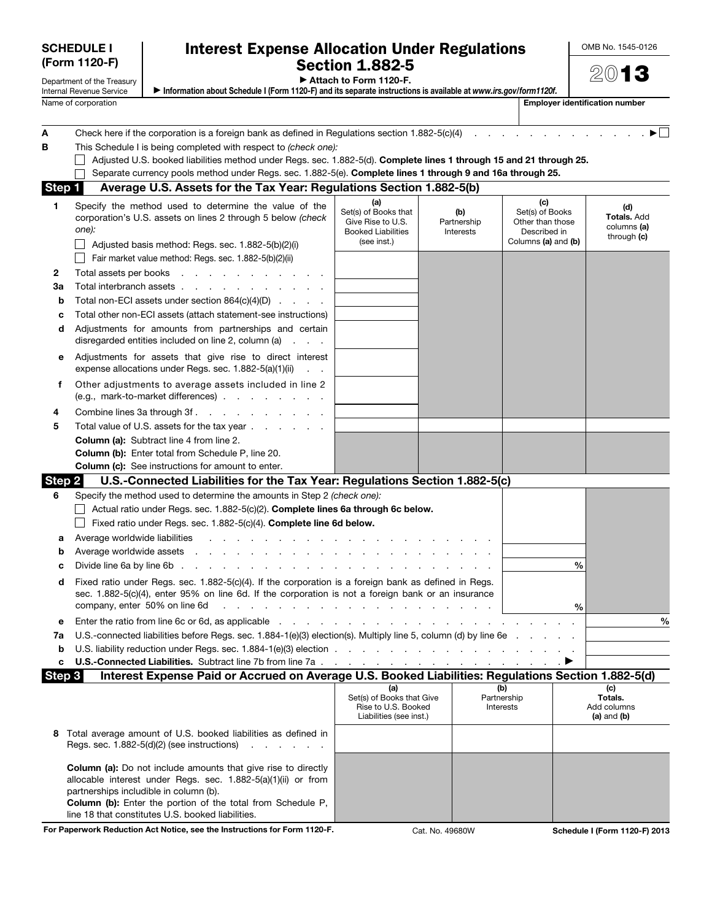| <b>SCHEDULE I</b>                                                       |                                                             | <b>Interest Expense Allocation Under Regulations</b>                                                                                                                                                                                                                                                                                                                                                        | OMB No. 1545-0126                                                           |                                 |                                                                                   |                                                         |
|-------------------------------------------------------------------------|-------------------------------------------------------------|-------------------------------------------------------------------------------------------------------------------------------------------------------------------------------------------------------------------------------------------------------------------------------------------------------------------------------------------------------------------------------------------------------------|-----------------------------------------------------------------------------|---------------------------------|-----------------------------------------------------------------------------------|---------------------------------------------------------|
| (Form 1120-F)<br>Department of the Treasury<br>Internal Revenue Service |                                                             | <b>Section 1.882-5</b><br>Attach to Form 1120-F.<br>Information about Schedule I (Form 1120-F) and its separate instructions is available at www.irs.gov/form1120f.                                                                                                                                                                                                                                         | 2013                                                                        |                                 |                                                                                   |                                                         |
|                                                                         | Name of corporation                                         |                                                                                                                                                                                                                                                                                                                                                                                                             |                                                                             |                                 |                                                                                   | <b>Employer identification number</b>                   |
| А<br>в                                                                  |                                                             | Check here if the corporation is a foreign bank as defined in Regulations section $1.882 - 5(c)(4)$<br>This Schedule I is being completed with respect to (check one):<br>Adjusted U.S. booked liabilities method under Regs. sec. 1.882-5(d). Complete lines 1 through 15 and 21 through 25.<br>Separate currency pools method under Regs. sec. 1.882-5(e). Complete lines 1 through 9 and 16a through 25. |                                                                             |                                 |                                                                                   |                                                         |
| Step 1                                                                  |                                                             | Average U.S. Assets for the Tax Year: Regulations Section 1.882-5(b)                                                                                                                                                                                                                                                                                                                                        |                                                                             |                                 |                                                                                   |                                                         |
| 1.                                                                      | one):                                                       | Specify the method used to determine the value of the<br>corporation's U.S. assets on lines 2 through 5 below (check<br>Adjusted basis method: Regs. sec. 1.882-5(b)(2)(i)<br>Fair market value method: Regs. sec. 1.882-5(b)(2)(ii)                                                                                                                                                                        |                                                                             | (b)<br>Partnership<br>Interests | (c)<br>Set(s) of Books<br>Other than those<br>Described in<br>Columns (a) and (b) | (d)<br><b>Totals. Add</b><br>columns (a)<br>through (c) |
| 2                                                                       | Total assets per books                                      | in the contract of the contract of the contract of the contract of the contract of the contract of the contract of the contract of the contract of the contract of the contract of the contract of the contract of the contrac                                                                                                                                                                              |                                                                             |                                 |                                                                                   |                                                         |
| За                                                                      |                                                             | Total interbranch assets                                                                                                                                                                                                                                                                                                                                                                                    |                                                                             |                                 |                                                                                   |                                                         |
| b                                                                       |                                                             | Total non-ECI assets under section $864(c)(4)(D)$                                                                                                                                                                                                                                                                                                                                                           |                                                                             |                                 |                                                                                   |                                                         |
| c                                                                       |                                                             | Total other non-ECI assets (attach statement-see instructions)                                                                                                                                                                                                                                                                                                                                              |                                                                             |                                 |                                                                                   |                                                         |
| d                                                                       |                                                             | Adjustments for amounts from partnerships and certain<br>disregarded entities included on line 2, column (a)                                                                                                                                                                                                                                                                                                |                                                                             |                                 |                                                                                   |                                                         |
| е                                                                       |                                                             | Adjustments for assets that give rise to direct interest<br>expense allocations under Regs. sec. 1.882-5(a)(1)(ii)                                                                                                                                                                                                                                                                                          |                                                                             |                                 |                                                                                   |                                                         |
| f.                                                                      |                                                             | Other adjustments to average assets included in line 2<br>(e.g., mark-to-market differences)                                                                                                                                                                                                                                                                                                                |                                                                             |                                 |                                                                                   |                                                         |
| 4                                                                       |                                                             | Combine lines 3a through 3f.                                                                                                                                                                                                                                                                                                                                                                                |                                                                             |                                 |                                                                                   |                                                         |
| 5                                                                       |                                                             | Total value of U.S. assets for the tax year<br><b>Column (a):</b> Subtract line 4 from line 2.                                                                                                                                                                                                                                                                                                              |                                                                             |                                 |                                                                                   |                                                         |
|                                                                         |                                                             | <b>Column (b):</b> Enter total from Schedule P, line 20.                                                                                                                                                                                                                                                                                                                                                    |                                                                             |                                 |                                                                                   |                                                         |
|                                                                         |                                                             | <b>Column (c):</b> See instructions for amount to enter.                                                                                                                                                                                                                                                                                                                                                    |                                                                             |                                 |                                                                                   |                                                         |
| Step 2                                                                  |                                                             | U.S.-Connected Liabilities for the Tax Year: Regulations Section 1.882-5(c)                                                                                                                                                                                                                                                                                                                                 |                                                                             |                                 |                                                                                   |                                                         |
| 6                                                                       |                                                             | Specify the method used to determine the amounts in Step 2 (check one):<br>Actual ratio under Regs. sec. 1.882-5(c)(2). Complete lines 6a through 6c below.<br>Fixed ratio under Regs. sec. 1.882-5(c)(4). Complete line 6d below.                                                                                                                                                                          |                                                                             |                                 |                                                                                   |                                                         |
| а                                                                       | Average worldwide liabilities                               |                                                                                                                                                                                                                                                                                                                                                                                                             |                                                                             |                                 |                                                                                   |                                                         |
| b                                                                       |                                                             | Average worldwide assets                                                                                                                                                                                                                                                                                                                                                                                    |                                                                             |                                 |                                                                                   | %                                                       |
| c<br>d                                                                  | Divide line 6a by line 6b.<br>company, enter 50% on line 6d | the contract of the contract of the contract of<br>Fixed ratio under Regs. sec. 1.882-5(c)(4). If the corporation is a foreign bank as defined in Regs.<br>sec. 1.882-5(c)(4), enter 95% on line 6d. If the corporation is not a foreign bank or an insurance<br>.                                                                                                                                          |                                                                             |                                 |                                                                                   | %                                                       |
| е                                                                       |                                                             |                                                                                                                                                                                                                                                                                                                                                                                                             |                                                                             |                                 |                                                                                   | $\frac{0}{0}$                                           |
| 7a                                                                      |                                                             | U.S.-connected liabilities before Regs. sec. 1.884-1(e)(3) election(s). Multiply line 5, column (d) by line 6e                                                                                                                                                                                                                                                                                              |                                                                             |                                 |                                                                                   |                                                         |
| b<br>c                                                                  |                                                             |                                                                                                                                                                                                                                                                                                                                                                                                             |                                                                             |                                 |                                                                                   |                                                         |
| Step 3                                                                  |                                                             | Interest Expense Paid or Accrued on Average U.S. Booked Liabilities: Regulations Section 1.882-5(d)                                                                                                                                                                                                                                                                                                         |                                                                             |                                 |                                                                                   |                                                         |
|                                                                         |                                                             |                                                                                                                                                                                                                                                                                                                                                                                                             | (a)                                                                         |                                 | (b)                                                                               | (c)                                                     |
|                                                                         |                                                             |                                                                                                                                                                                                                                                                                                                                                                                                             | Set(s) of Books that Give<br>Rise to U.S. Booked<br>Liabilities (see inst.) |                                 | Partnership<br>Interests                                                          | Totals.<br>Add columns<br>(a) and (b)                   |
| 8                                                                       |                                                             | Total average amount of U.S. booked liabilities as defined in<br>Regs. sec. $1.882-5(d)(2)$ (see instructions) $\cdots$                                                                                                                                                                                                                                                                                     |                                                                             |                                 |                                                                                   |                                                         |
|                                                                         |                                                             | <b>Column (a):</b> Do not include amounts that give rise to directly<br>allocable interest under Regs. sec. 1.882-5(a)(1)(ii) or from<br>partnerships includible in column (b).<br>Column (b): Enter the portion of the total from Schedule P,<br>line 18 that constitutes U.S. booked liabilities.                                                                                                         |                                                                             |                                 |                                                                                   |                                                         |
|                                                                         |                                                             | For Paperwork Reduction Act Notice, see the Instructions for Form 1120-F.                                                                                                                                                                                                                                                                                                                                   |                                                                             | Cat. No. 49680W                 |                                                                                   | Schedule I (Form 1120-F) 2013                           |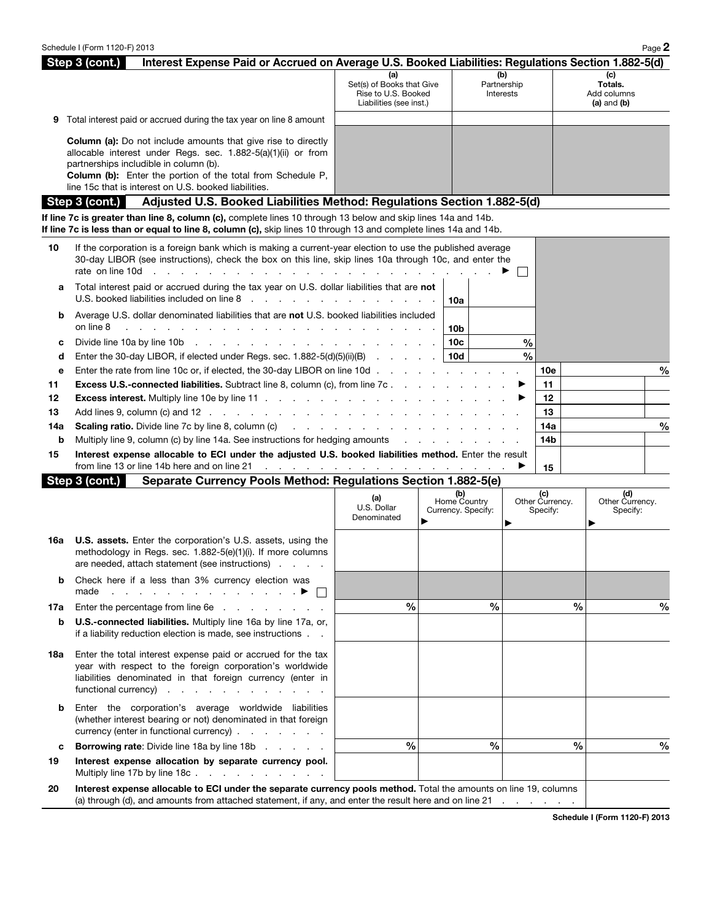|     | Interest Expense Paid or Accrued on Average U.S. Booked Liabilities: Regulations Section 1.882-5(d)<br>Step 3 (cont.)                                                                                                                                                                                          |                                                                                                                                                                                                                                |                                    |                                 |                             |               |                                              |               |
|-----|----------------------------------------------------------------------------------------------------------------------------------------------------------------------------------------------------------------------------------------------------------------------------------------------------------------|--------------------------------------------------------------------------------------------------------------------------------------------------------------------------------------------------------------------------------|------------------------------------|---------------------------------|-----------------------------|---------------|----------------------------------------------|---------------|
|     |                                                                                                                                                                                                                                                                                                                | (a)<br>Set(s) of Books that Give<br>Rise to U.S. Booked<br>Liabilities (see inst.)                                                                                                                                             |                                    | (b)<br>Partnership<br>Interests |                             |               | (c)<br>Totals.<br>Add columns<br>(a) and (b) |               |
| 9   | Total interest paid or accrued during the tax year on line 8 amount                                                                                                                                                                                                                                            |                                                                                                                                                                                                                                |                                    |                                 |                             |               |                                              |               |
|     | <b>Column (a):</b> Do not include amounts that give rise to directly<br>allocable interest under Regs. sec. 1.882-5(a)(1)(ii) or from<br>partnerships includible in column (b).<br><b>Column (b):</b> Enter the portion of the total from Schedule P.<br>line 15c that is interest on U.S. booked liabilities. |                                                                                                                                                                                                                                |                                    |                                 |                             |               |                                              |               |
|     | Step 3 (cont.)<br>Adjusted U.S. Booked Liabilities Method: Regulations Section 1.882-5(d)                                                                                                                                                                                                                      |                                                                                                                                                                                                                                |                                    |                                 |                             |               |                                              |               |
|     | If line 7c is greater than line 8, column (c), complete lines 10 through 13 below and skip lines 14a and 14b.<br>If line 7c is less than or equal to line 8, column (c), skip lines 10 through 13 and complete lines 14a and 14b.                                                                              |                                                                                                                                                                                                                                |                                    |                                 |                             |               |                                              |               |
| 10  | If the corporation is a foreign bank which is making a current-year election to use the published average<br>30-day LIBOR (see instructions), check the box on this line, skip lines 10a through 10c, and enter the<br>rate on line 10d<br>the second contract of the second contract of the second con-       |                                                                                                                                                                                                                                |                                    |                                 |                             |               |                                              |               |
| а   | Total interest paid or accrued during the tax year on U.S. dollar liabilities that are not<br>U.S. booked liabilities included on line 8 and a contract of the state of the state of the U.S. booked liabilities                                                                                               |                                                                                                                                                                                                                                | 10a                                |                                 |                             |               |                                              |               |
| b   | Average U.S. dollar denominated liabilities that are not U.S. booked liabilities included<br>on line 8<br>والمتحاول والمتحاول والمتحاول والمتحاول والمتحاول والمتحاول والمتحاول والمتحاول                                                                                                                      |                                                                                                                                                                                                                                | 10b                                |                                 |                             |               |                                              |               |
| c   |                                                                                                                                                                                                                                                                                                                |                                                                                                                                                                                                                                | 10c                                | $\%$                            |                             |               |                                              |               |
| d   | Enter the 30-day LIBOR, if elected under Regs. sec. 1.882-5(d)(5)(ii)(B)                                                                                                                                                                                                                                       |                                                                                                                                                                                                                                | 10d                                | $\frac{0}{0}$                   |                             |               |                                              |               |
| е   | Enter the rate from line 10c or, if elected, the 30-day LIBOR on line 10d                                                                                                                                                                                                                                      |                                                                                                                                                                                                                                |                                    |                                 | 10e                         |               |                                              | $\frac{0}{0}$ |
| 11  | <b>Excess U.S.-connected liabilities.</b> Subtract line 8, column (c), from line 7c                                                                                                                                                                                                                            |                                                                                                                                                                                                                                |                                    | ▶                               | 11                          |               |                                              |               |
| 12  |                                                                                                                                                                                                                                                                                                                |                                                                                                                                                                                                                                |                                    |                                 | 12                          |               |                                              |               |
| 13  | Add lines 9, column (c) and 12 $\ldots$ $\ldots$ $\ldots$ $\ldots$ $\ldots$ $\ldots$ $\ldots$ $\ldots$ $\ldots$                                                                                                                                                                                                |                                                                                                                                                                                                                                |                                    |                                 | 13                          |               |                                              |               |
| 14a | <b>Scaling ratio.</b> Divide line 7c by line 8, column (c) and the contract to the contract to the contract to the contract to the contract to the contract to the contract to the contract of the contract to the contract to the                                                                             |                                                                                                                                                                                                                                |                                    |                                 | 14a                         |               |                                              | $\%$          |
| b   | Multiply line 9, column (c) by line 14a. See instructions for hedging amounts                                                                                                                                                                                                                                  |                                                                                                                                                                                                                                |                                    |                                 | 14b                         |               |                                              |               |
| 15  | Interest expense allocable to ECI under the adjusted U.S. booked liabilities method. Enter the result<br>from line 13 or line 14b here and on line 21                                                                                                                                                          | the contract of the contract of the contract of the contract of the contract of the contract of the contract of the contract of the contract of the contract of the contract of the contract of the contract of the contract o |                                    |                                 | 15                          |               |                                              |               |
|     | Step 3 (cont.)<br>Separate Currency Pools Method: Regulations Section 1.882-5(e)                                                                                                                                                                                                                               |                                                                                                                                                                                                                                |                                    |                                 |                             |               |                                              |               |
|     |                                                                                                                                                                                                                                                                                                                |                                                                                                                                                                                                                                | (b)                                |                                 | (c)                         |               | (d)                                          |               |
|     |                                                                                                                                                                                                                                                                                                                | (a)<br>U.S. Dollar<br>Denominated                                                                                                                                                                                              | Home Country<br>Currency. Specify: | ▶                               | Other Currency.<br>Specify: |               | Other Currency.<br>Specify:                  |               |
| 16a | <b>U.S. assets.</b> Enter the corporation's U.S. assets, using the<br>methodology in Regs. sec. 1.882-5(e)(1)(i). If more columns<br>are needed, attach statement (see instructions)                                                                                                                           |                                                                                                                                                                                                                                |                                    |                                 |                             |               |                                              |               |
| b   | Check here if a less than 3% currency election was<br>made<br>and the contract of the contract of the contract of the contract of the contract of the contract of the contract of the contract of the contract of the contract of the contract of the contract of the contract of the contra                   |                                                                                                                                                                                                                                |                                    |                                 |                             |               |                                              |               |
| 17a | Enter the percentage from line 6e                                                                                                                                                                                                                                                                              | $\%$                                                                                                                                                                                                                           | %                                  |                                 |                             | $\frac{0}{0}$ |                                              | %             |
| b   | U.S.-connected liabilities. Multiply line 16a by line 17a, or,<br>if a liability reduction election is made, see instructions                                                                                                                                                                                  |                                                                                                                                                                                                                                |                                    |                                 |                             |               |                                              |               |
| 18a | Enter the total interest expense paid or accrued for the tax<br>year with respect to the foreign corporation's worldwide<br>liabilities denominated in that foreign currency (enter in<br>functional currency)                                                                                                 |                                                                                                                                                                                                                                |                                    |                                 |                             |               |                                              |               |
| b   | Enter the corporation's average worldwide liabilities<br>(whether interest bearing or not) denominated in that foreign<br>currency (enter in functional currency)                                                                                                                                              |                                                                                                                                                                                                                                |                                    |                                 |                             |               |                                              |               |
| c   | <b>Borrowing rate:</b> Divide line 18a by line 18b                                                                                                                                                                                                                                                             | $\frac{0}{0}$                                                                                                                                                                                                                  | %                                  |                                 |                             | $\frac{0}{0}$ |                                              | %             |
| 19  | Interest expense allocation by separate currency pool.<br>Multiply line 17b by line 18c. $\ldots$                                                                                                                                                                                                              |                                                                                                                                                                                                                                |                                    |                                 |                             |               |                                              |               |
| 20  | Interest expense allocable to ECI under the separate currency pools method. Total the amounts on line 19, columns<br>(a) through (d), and amounts from attached statement, if any, and enter the result here and on line 21                                                                                    |                                                                                                                                                                                                                                |                                    |                                 |                             |               |                                              |               |

Schedule I (Form 1120-F) 2013